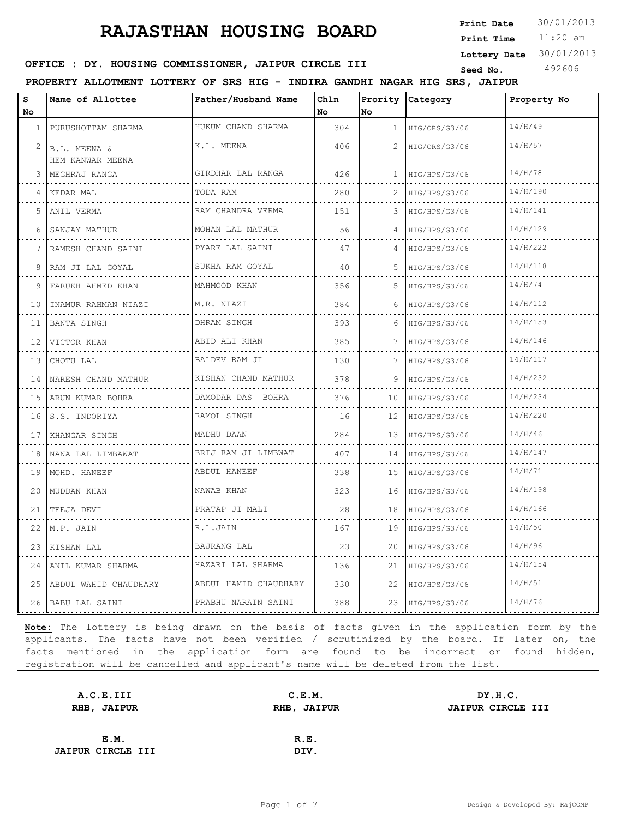11:20 am **Print Time Print Date**  $30/01/2013$ 

**Lottery Date** 30/01/2013

### **SEED : DY. HOUSING COMMISSIONER, JAIPUR CIRCLE III** Seed No. 492606

**PROPERTY ALLOTMENT LOTTERY OF SRS HIG - INDIRA GANDHI NAGAR HIG SRS, JAIPUR**

| s<br>No | Name of Allottee                 | Father/Husband Name       | Chln<br>No | Prority<br>lno. | Category           | Property No |
|---------|----------------------------------|---------------------------|------------|-----------------|--------------------|-------------|
| 1       | PURUSHOTTAM SHARMA               | HUKUM CHAND SHARMA        | 304        | $\mathbf{1}$    | HIG/ORS/G3/06      | 14/H/49     |
| 2       | B.L. MEENA &<br>HEM KANWAR MEENA | K.L. MEENA                | 406        | 2               | HIG/ORS/G3/06      | 14/H/57     |
| 3       | MEGHRAJ RANGA                    | GIRDHAR LAL RANGA         | 426        | $\mathbf{1}$    | HIG/HPS/G3/06      | 14/H/78     |
| 4       | KEDAR MAL                        | TODA RAM                  | 280        | 2.              | HIG/HPS/G3/06      | 14/H/190    |
| 5       | ANIL VERMA                       | RAM CHANDRA VERMA         | 151        | 3               | HIG/HPS/G3/06      | 14/H/141    |
| 6       | .<br>SANJAY MATHUR               | .<br>MOHAN LAL MATHUR     | 56         | 4               | HIG/HPS/G3/06      | 14/H/129    |
|         | RAMESH CHAND SAINI               | PYARE LAL SAINI           | 47         | 4               | HIG/HPS/G3/06      | 14/H/222    |
| 8       | RAM JI LAL GOYAL                 | SUKHA RAM GOYAL           | 40         | 5.              | HIG/HPS/G3/06      | 14/H/118    |
| 9       | FARUKH AHMED KHAN                | MAHMOOD KHAN<br>.         | 356        | 5.              | HIG/HPS/G3/06      | 14/H/74     |
| 10      | INAMUR RAHMAN NIAZI<br>.         | M.R. NIAZI                | 384        | 6               | HIG/HPS/G3/06      | 14/H/112    |
| 11      | BANTA SINGH                      | DHRAM SINGH               | 393        | 6               | HIG/HPS/G3/06      | 14/H/153    |
| 12      | VICTOR KHAN                      | ABID ALI KHAN<br><u>.</u> | 385        | 7               | HIG/HPS/G3/06      | 14/H/146    |
| 13      | CHOTU LAL                        | BALDEV RAM JI             | 130        | 7               | HIG/HPS/G3/06      | 14/H/117    |
| 14      | NARESH CHAND MATHUR              | KISHAN CHAND MATHUR<br>.  | 378        | 9               | HIG/HPS/G3/06      | 14/H/232    |
| 15      | ARUN KUMAR BOHRA                 | DAMODAR DAS BOHRA         | 376        | 10              | HIG/HPS/G3/06      | 14/H/234    |
| 16      | S.S. INDORIYA                    | RAMOL SINGH               | 16         | 12              | HIG/HPS/G3/06      | 14/H/220    |
| 17      | KHANGAR SINGH                    | MADHU DAAN                | 284        | 13              | HIG/HPS/G3/06<br>. | 14/H/46     |
| 18      | NANA LAL LIMBAWAT                | BRIJ RAM JI LIMBWAT<br>.  | 407        | 14              | HIG/HPS/G3/06      | 14/H/147    |
| 19      | MOHD. HANEEF                     | ABDUL HANEEF              | 338        | 15              | HIG/HPS/G3/06      | 14/H/71     |
| 20      | MUDDAN KHAN                      | NAWAB KHAN                | 323        | 16              | HIG/HPS/G3/06      | 14/H/198    |
| 21      | TEEJA DEVI                       | PRATAP JI MALI            | 28         | 18              | HIG/HPS/G3/06      | 14/H/166    |
| 22      | M.P. JAIN                        | R.L.JAIN                  | 167        | 19              | HIG/HPS/G3/06      | 14/H/50     |
| 23      | KISHAN LAL                       | <b>BAJRANG LAL</b>        | 23         | 20              | HIG/HPS/G3/06      | 14/H/96     |
| 24      | ANIL KUMAR SHARMA                | HAZARI LAL SHARMA         | 136        | 21              | HIG/HPS/G3/06      | 14/H/154    |
|         | 25 ABDUL WAHID CHAUDHARY         | ABDUL HAMID CHAUDHARY     | 330        | 22              | HIG/HPS/G3/06      | 14/H/51     |
|         | 26 BABU LAL SAINI                | PRABHU NARAIN SAINI       | 388        | 23              | HIG/HPS/G3/06      | 14/H/76     |

| A.C.E.III                | C.E.M.      | DY.H.C.                  |
|--------------------------|-------------|--------------------------|
| RHB, JAIPUR              | RHB, JAIPUR | <b>JAIPUR CIRCLE III</b> |
|                          |             |                          |
| E.M.                     | R.E.        |                          |
| <b>JAIPUR CIRCLE III</b> | DIV.        |                          |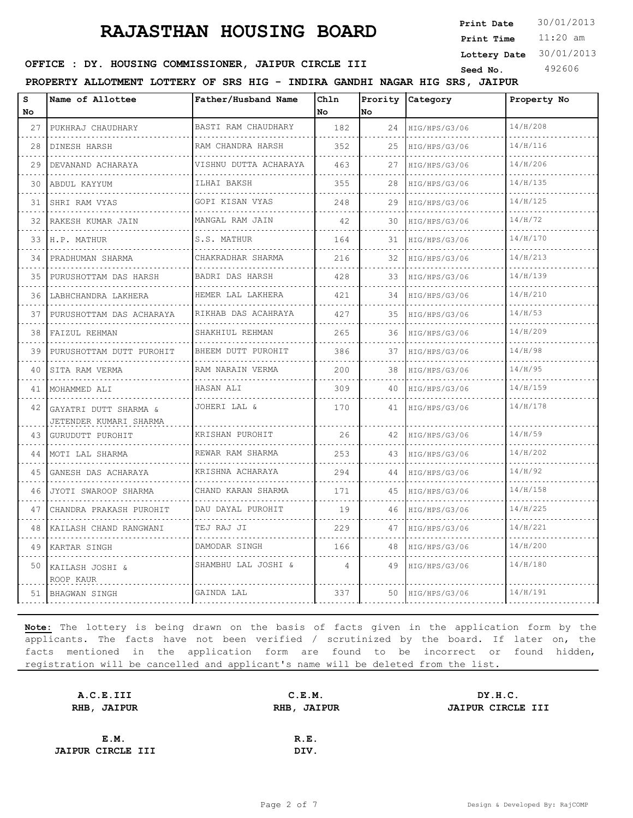11:20 am **Print Time Print Date**  $30/01/2013$ 

**Lottery Date** 30/01/2013

**SEED : DY. HOUSING COMMISSIONER, JAIPUR CIRCLE III** Seed No. 492606

**PROPERTY ALLOTMENT LOTTERY OF SRS HIG - INDIRA GANDHI NAGAR HIG SRS, JAIPUR**

| S<br>No. | Name of Allottee                                | Father/Husband Name            | Chln<br>No | Prority<br>lno. | Category           | Property No |
|----------|-------------------------------------------------|--------------------------------|------------|-----------------|--------------------|-------------|
| 27       | PUKHRAJ CHAUDHARY                               | BASTI RAM CHAUDHARY            | 182        | 24              | HIG/HPS/G3/06      | 14/H/208    |
| 28       | DINESH HARSH                                    | .<br>RAM CHANDRA HARSH         | 352        | 25              | .<br>HIG/HPS/G3/06 | 14/H/116    |
| 29       | DEVANAND ACHARAYA                               | .<br>VISHNU DUTTA ACHARAYA     | 463        | 27              | HIG/HPS/G3/06      | 14/H/206    |
| 30       | ABDUL KAYYUM                                    | ILHAI BAKSH                    | 355        | 28              | HIG/HPS/G3/06      | 14/H/135    |
| 31       | SHRI RAM VYAS                                   | .<br>GOPI KISAN VYAS           | 248        | 29              | .<br>HIG/HPS/G3/06 | 14/H/125    |
| 32       | RAKESH KUMAR JAIN                               | MANGAL RAM JAIN                | 42         | 30              | HIG/HPS/G3/06      | 14/H/72     |
| 33       | H.P. MATHUR                                     | .<br>S.S. MATHUR               | 164        | 31              | HIG/HPS/G3/06      | 14/H/170    |
| 34       | PRADHUMAN SHARMA                                | CHAKRADHAR SHARMA              | 216        | 32              | HIG/HPS/G3/06      | 14/H/213    |
| 35       | PURUSHOTTAM DAS HARSH                           | BADRI DAS HARSH                | 428        | 33              | HIG/HPS/G3/06      | 14/H/139    |
| 36       | LABHCHANDRA LAKHERA                             | .<br>HEMER LAL LAKHERA         | 421        | 34              | HIG/HPS/G3/06      | 14/H/210    |
| 37       | PURUSHOTTAM DAS ACHARAYA                        | RIKHAB DAS ACAHRAYA            | 427        | 35              | HIG/HPS/G3/06      | 14/H/53     |
| 38       | FAIZUL REHMAN                                   | SHAKHIUL REHMAN                | 265        | 36              | HIG/HPS/G3/06      | 14/H/209    |
| 39       | PURUSHOTTAM DUTT PUROHIT                        | <u>.</u><br>BHEEM DUTT PUROHIT | 386        | 37              | HIG/HPS/G3/06      | 14/H/98     |
| 40       | SITA RAM VERMA                                  | RAM NARAIN VERMA               | 200        | 38              | HIG/HPS/G3/06      | 14/H/95     |
| 41       | MOHAMMED ALI                                    | HASAN ALI                      | 309        | 40              | .<br>HIG/HPS/G3/06 | 14/H/159    |
| 42       | GAYATRI DUTT SHARMA &<br>JETENDER KUMARI SHARMA | JOHERI LAL &                   | 170        | 41              | HIG/HPS/G3/06      | 14/H/178    |
| 43       | GURUDUTT PUROHIT                                | KRISHAN PUROHIT                | 26         | 42              | HIG/HPS/G3/06      | 14/H/59     |
| 44       | MOTI LAL SHARMA<br>.                            | REWAR RAM SHARMA<br>.          | 253        | 43              | HIG/HPS/G3/06      | 14/H/202    |
| 45       | GANESH DAS ACHARAYA                             | KRISHNA ACHARAYA<br><u>.</u>   | 294        | 44              | HIG/HPS/G3/06      | 14/H/92     |
| 46       | JYOTI SWAROOP SHARMA                            | CHAND KARAN SHARMA             | 171        | 45              | HIG/HPS/G3/06      | 14/H/158    |
| 47       | CHANDRA PRAKASH PUROHIT<br>.                    | DAU DAYAL PUROHIT              | 19         | 46              | HIG/HPS/G3/06      | 14/H/225    |
| 48       | KAILASH CHAND RANGWANI                          | TEJ RAJ JI                     | 229        | 47              | HIG/HPS/G3/06      | 14/H/221    |
| 49       | KARTAR SINGH                                    | DAMODAR SINGH                  | 166        | 48              | HIG/HPS/G3/06      | 14/H/200    |
| 50       | KAILASH JOSHI &<br>ROOP KAUR                    | SHAMBHU LAL JOSHI &            | 4          | 49              | HIG/HPS/G3/06      | 14/H/180    |
|          | 51 BHAGWAN SINGH                                | GAINDA LAL                     | 337        | 50              | HIG/HPS/G3/06      | 14/H/191    |

| A.C.E.III                |      | DY.H.C.               |
|--------------------------|------|-----------------------|
| RHB, JAIPUR              |      | JAIPUR CIRCLE III     |
|                          |      |                       |
|                          | R.E. |                       |
| <b>JAIPUR CIRCLE III</b> | DIV. |                       |
|                          |      | C.E.M.<br>RHB, JAIPUR |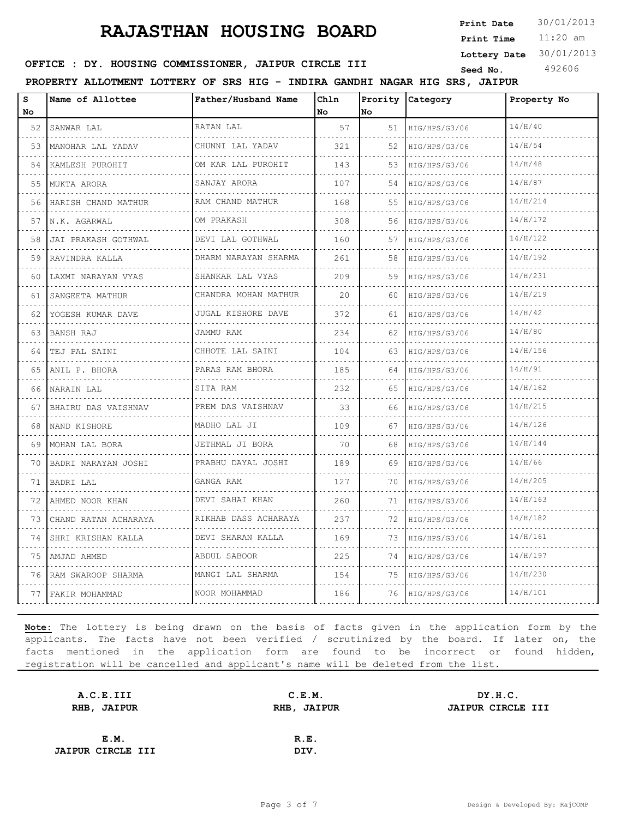11:20 am **Print Time Print Date**  $30/01/2013$ 

**Lottery Date** 30/01/2013

### **SEED : DY. HOUSING COMMISSIONER, JAIPUR CIRCLE III** Seed No. 492606

**PROPERTY ALLOTMENT LOTTERY OF SRS HIG - INDIRA GANDHI NAGAR HIG SRS, JAIPUR**

| s  | Name of Allottee       | Father/Husband Name          | Ch1n |         | Prority Category   | Property No |
|----|------------------------|------------------------------|------|---------|--------------------|-------------|
| No |                        |                              | No   | No      |                    |             |
| 52 | SANWAR LAL             | RATAN LAL                    | 57   | 51      | HIG/HPS/G3/06      | 14/H/40     |
| 53 | MANOHAR LAL YADAV      | CHUNNI LAL YADAV             | 321  | 52      | HIG/HPS/G3/06      | 14/H/54     |
| 54 | KAMLESH PUROHIT        | OM KAR LAL PUROHIT<br>.      | 143  | 53      | HIG/HPS/G3/06      | 14/H/48     |
| 55 | MUKTA ARORA            | SANJAY ARORA<br>.            | 107  | 54      | HIG/HPS/G3/06      | 14/H/87     |
| 56 | HARISH CHAND MATHUR    | RAM CHAND MATHUR             | 168  | 55      | HIG/HPS/G3/06      | 14/H/214    |
| 57 | N.K. AGARWAL           | OM PRAKASH                   | 308  | 56      | HIG/HPS/G3/06      | 14/H/172    |
| 58 | JAI PRAKASH GOTHWAL    | DEVI LAL GOTHWAL<br>.        | 160  | 57      | HIG/HPS/G3/06      | 14/H/122    |
| 59 | RAVINDRA KALLA         | DHARM NARAYAN SHARMA<br>.    | 261  | 58      | HIG/HPS/G3/06      | 14/H/192    |
| 60 | LAXMI NARAYAN VYAS     | SHANKAR LAL VYAS             | 209  | 59      | HIG/HPS/G3/06      | 14/H/231    |
| 61 | SANGEETA MATHUR        | CHANDRA MOHAN MATHUR<br>.    | 20   | 60.     | HIG/HPS/G3/06      | 14/H/219    |
| 62 | YOGESH KUMAR DAVE<br>. | JUGAL KISHORE DAVE           | 372  | 61      | HIG/HPS/G3/06      | 14/H/42     |
| 63 | <b>BANSH RAJ</b>       | JAMMU RAM                    | 234  | 62      | HIG/HPS/G3/06      | 14/H/80     |
| 64 | TEJ PAL SAINI          | CHHOTE LAL SAINI<br><u>.</u> | 104  | 63      | HIG/HPS/G3/06<br>. | 14/H/156    |
| 65 | ANIL P. BHORA<br>.     | PARAS RAM BHORA<br>.         | 185  | .<br>64 | HIG/HPS/G3/06<br>. | 14/H/91     |
| 66 | NARAIN LAL             | SITA RAM                     | 2.32 | 65      | HIG/HPS/G3/06      | 14/H/162    |
| 67 | BHAIRU DAS VAISHNAV    | PREM DAS VAISHNAV            | 33   | 66      | HIG/HPS/G3/06      | 14/H/215    |
| 68 | NAND KISHORE           | MADHO LAL JI<br>.            | 109  | 67      | HIG/HPS/G3/06      | 14/H/126    |
| 69 | MOHAN LAL BORA         | JETHMAL JI BORA              | 70   | 68      | HIG/HPS/G3/06      | 14/H/144    |
| 70 | BADRI NARAYAN JOSHI    | PRABHU DAYAL JOSHI<br>.      | 189  | 69      | HIG/HPS/G3/06<br>. | 14/H/66     |
| 71 | BADRI LAL              | GANGA RAM                    | 127  | 70      | HIG/HPS/G3/06      | 14/H/205    |
| 72 | AHMED NOOR KHAN        | DEVI SAHAI KHAN              | 260  | 71      | HIG/HPS/G3/06      | 14/H/163    |
| 73 | CHAND RATAN ACHARAYA   | RIKHAB DASS ACHARAYA         | 237  | 72      | HIG/HPS/G3/06<br>. | 14/H/182    |
| 74 | SHRI KRISHAN KALLA     | DEVI SHARAN KALLA            | 169  | 73      | HIG/HPS/G3/06      | 14/H/161    |
| 75 | AMJAD AHMED            | ABDUL SABOOR                 | 225  | 74      | HIG/HPS/G3/06      | 14/H/197    |
| 76 | RAM SWAROOP SHARMA     | MANGI LAL SHARMA             | 154  | 75      | HIG/HPS/G3/06      | 14/H/230    |
|    | 77 FAKIR MOHAMMAD      | NOOR MOHAMMAD                | 186  | 76      | HIG/HPS/G3/06      | 14/H/101    |

| A.C.E.III                |      | DY.H.C.               |
|--------------------------|------|-----------------------|
| RHB, JAIPUR              |      | JAIPUR CIRCLE III     |
|                          |      |                       |
|                          | R.E. |                       |
| <b>JAIPUR CIRCLE III</b> | DIV. |                       |
|                          |      | C.E.M.<br>RHB, JAIPUR |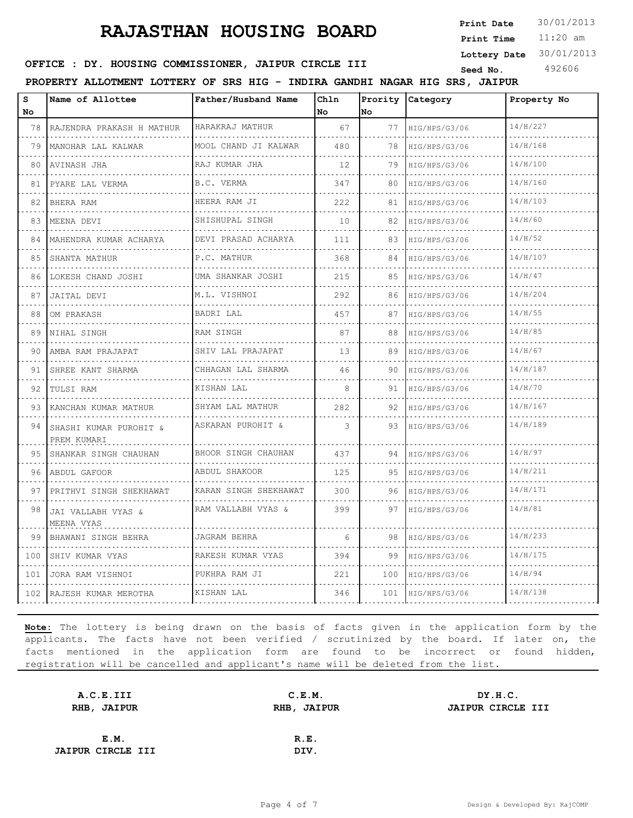11:20 am **Print Time Print Date**  $30/01/2013$ 

**Lottery Date** 30/01/2013

### **SEED : DY. HOUSING COMMISSIONER, JAIPUR CIRCLE III** Seed No. 492606

**PROPERTY ALLOTMENT LOTTERY OF SRS HIG - INDIRA GANDHI NAGAR HIG SRS, JAIPUR**

| S<br>No | Name of Allottee                      | Father/Husband Name       | Chln<br>No | Prority<br>lno.                   | Category           | Property No |
|---------|---------------------------------------|---------------------------|------------|-----------------------------------|--------------------|-------------|
| 78      | RAJENDRA PRAKASH H MATHUR             | HARAKRAJ MATHUR           | 67         | 77                                | HIG/HPS/G3/06      | 14/H/227    |
| 79      | MANOHAR LAL KALWAR                    | .<br>MOOL CHAND JI KALWAR | 480        | $\sim$ $\sim$ $\sim$ $\sim$<br>78 | .<br>HIG/HPS/G3/06 | 14/H/168    |
| 80      | AVINASH JHA                           | .<br>RAJ KUMAR JHA        | 12         | 79                                | .<br>HIG/HPS/G3/06 | 14/H/100    |
| 81      | PYARE LAL VERMA                       | B.C. VERMA                | 347        | 80                                | HIG/HPS/G3/06      | 14/H/160    |
| 82      | BHERA RAM                             | .<br>HEERA RAM JI         | 222        | 81                                | HIG/HPS/G3/06      | 14/H/103    |
| 83      | .<br>MEENA DEVI                       | .<br>SHISHUPAL SINGH      | 10         | 82                                | .<br>HIG/HPS/G3/06 | 14/H/60     |
| 84      | MAHENDRA KUMAR ACHARYA                | DEVI PRASAD ACHARYA       | 111        | 83                                | HIG/HPS/G3/06      | 14/H/52     |
| 85      | SHANTA MATHUR                         | P.C. MATHUR<br>.          | 368        | 84                                | HIG/HPS/G3/06      | 14/H/107    |
| 86      | .<br>LOKESH CHAND JOSHI               | UMA SHANKAR JOSHI         | 215        | 85                                | .<br>HIG/HPS/G3/06 | 14/H/47     |
| 87      | JAITAL DEVI                           | M.L. VISHNOI              | 292        | 86                                | HIG/HPS/G3/06      | 14/H/204    |
| 88      | OM PRAKASH                            | BADRI LAL                 | 457        | 87                                | HIG/HPS/G3/06<br>. | 14/H/55     |
| 89      | NIHAL SINGH                           | RAM SINGH                 | 87         | 88                                | HIG/HPS/G3/06      | 14/H/85     |
| 90      | AMBA RAM PRAJAPAT                     | SHIV LAL PRAJAPAT<br>.    | 13         | 89                                | HIG/HPS/G3/06<br>. | 14/H/67     |
| 91      | SHREE KANT SHARMA                     | CHHAGAN LAL SHARMA<br>.   | 46         | 90                                | HIG/HPS/G3/06      | 14/H/187    |
| 92      | TULSI RAM                             | KISHAN LAL                | 8          | 91                                | HIG/HPS/G3/06      | 14/H/70     |
| 93      | KANCHAN KUMAR MATHUR                  | SHYAM LAL MATHUR<br>.     | 282        | 92                                | HIG/HPS/G3/06      | 14/H/167    |
| 94      | SHASHI KUMAR PUROHIT &<br>PREM KUMARI | ASKARAN PUROHIT &         | 3          | 93                                | HIG/HPS/G3/06      | 14/H/189    |
| 95      | SHANKAR SINGH CHAUHAN                 | BHOOR SINGH CHAUHAN       | 437        | 94                                | HIG/HPS/G3/06<br>. | 14/H/97     |
| 96      | ABDUL GAFOOR                          | ABDUL SHAKOOR             | 125        | 95                                | HIG/HPS/G3/06      | 14/H/211    |
| 97      | PRITHVI SINGH SHEKHAWAT               | KARAN SINGH SHEKHAWAT     | 300        | 96                                | HIG/HPS/G3/06      | 14/H/171    |
| 98      | JAI VALLABH VYAS &<br>MEENA VYAS      | RAM VALLABH VYAS &        | 399        | 97                                | HIG/HPS/G3/06      | 14/H/81     |
| 99      | BHAWANI SINGH BEHRA                   | JAGRAM BEHRA<br>.         | 6          | 98.                               | HIG/HPS/G3/06<br>. | 14/H/233    |
| 100     | SHIV KUMAR VYAS                       | RAKESH KUMAR VYAS<br>.    | 394        | 99                                | HIG/HPS/G3/06      | 14/H/175    |
| 101     | JORA RAM VISHNOI                      | PUKHRA RAM JI             | 221        | 100                               | HIG/HPS/G3/06      | 14/H/94     |
|         | 102 RAJESH KUMAR MEROTHA              | KISHAN LAL                | 346        | 101                               | HIG/HPS/G3/06      | 14/H/138    |

| A.C.E.III                | C.E.M. | DY.H.C.           |
|--------------------------|--------|-------------------|
| RHB, JAIPUR              |        | JAIPUR CIRCLE III |
|                          |        |                   |
| E.M.                     | R.E.   |                   |
| <b>JAIPUR CIRCLE III</b> | DIV.   |                   |
|                          |        | RHB, JAIPUR       |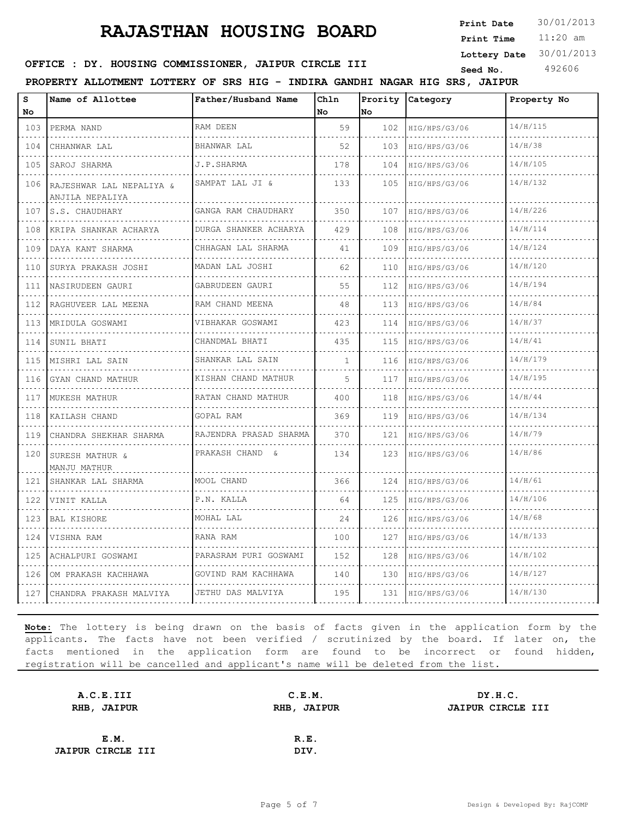11:20 am **Print Time Print Date**  $30/01/2013$ 

**Lottery Date** 30/01/2013

### **SEED : DY. HOUSING COMMISSIONER, JAIPUR CIRCLE III** Seed No. 492606

**PROPERTY ALLOTMENT LOTTERY OF SRS HIG - INDIRA GANDHI NAGAR HIG SRS, JAIPUR**

| s<br>No          | Name of Allottee                            | Father/Husband Name          | Chln<br>No.  | No. | Prority Category | Property No |
|------------------|---------------------------------------------|------------------------------|--------------|-----|------------------|-------------|
| 103              | PERMA NAND                                  | RAM DEEN                     | 59           | 102 | HIG/HPS/G3/06    | 14/H/115    |
| .<br>104         | .<br>CHHANWAR LAL                           | BHANWAR LAL                  | 52           | 103 | HIG/HPS/G3/06    | 14/H/38     |
| 105              | SAROJ SHARMA                                | J.P.SHARMA                   | 178          | 104 | HIG/HPS/G3/06    | 14/H/105    |
| .<br>106         | RAJESHWAR LAL NEPALIYA &<br>ANJILA NEPALIYA | SAMPAT LAL JI &              | 133          | 105 | HIG/HPS/G3/06    | 14/H/132    |
| 107              | S.S. CHAUDHARY                              | GANGA RAM CHAUDHARY<br>.     | 350          | 107 | HIG/HPS/G3/06    | 14/H/226    |
| 108              | KRIPA SHANKAR ACHARYA                       | DURGA SHANKER ACHARYA        | 429          | 108 | HIG/HPS/G3/06    | 14/H/114    |
| 109              | DAYA KANT SHARMA                            | CHHAGAN LAL SHARMA           | 41           | 109 | HIG/HPS/G3/06    | 14/H/124    |
| 110<br>.         | SURYA PRAKASH JOSHI                         | MADAN LAL JOSHI              | 62           | 110 | HIG/HPS/G3/06    | 14/H/120    |
| 111              | NASIRUDEEN GAURI                            | GABRUDEEN GAURI              | 55           | 112 | HIG/HPS/G3/06    | 14/H/194    |
| 112<br>.         | RAGHUVEER LAL MEENA                         | RAM CHAND MEENA              | 48           | 113 | HIG/HPS/G3/06    | 14/H/84     |
| 113              | MRIDULA GOSWAMI                             | VIBHAKAR GOSWAMI<br><u>.</u> | 423          | 114 | HIG/HPS/G3/06    | 14/H/37     |
| د د د د د<br>114 | SUNIL BHATI                                 | CHANDMAL BHATI               | 435          | 115 | HIG/HPS/G3/06    | 14/H/41     |
| 115              | MISHRI LAL SAIN                             | SHANKAR LAL SAIN             | $\mathbf{1}$ | 116 | HIG/HPS/G3/06    | 14/H/179    |
| .<br>116         | .<br>GYAN CHAND MATHUR                      | .<br>KISHAN CHAND MATHUR     | 5            | 117 | HIG/HPS/G3/06    | 14/H/195    |
| .<br>117         | MUKESH MATHUR                               | RATAN CHAND MATHUR           | 400          | 118 | HIG/HPS/G3/06    | 14/H/44     |
| 118              | KAILASH CHAND                               | GOPAL RAM                    | 369          | 119 | HIG/HPS/G3/06    | 14/H/134    |
| 119              | CHANDRA SHEKHAR SHARMA                      | .<br>RAJENDRA PRASAD SHARMA  | 370          | 121 | HIG/HPS/G3/06    | 14/H/79     |
| .<br>120         | SURESH MATHUR &<br>MANJU MATHUR             | PRAKASH CHAND &              | 134          | 123 | HIG/HPS/G3/06    | 14/H/86     |
| 121              | SHANKAR LAL SHARMA                          | MOOL CHAND                   | 366          | 124 | HIG/HPS/G3/06    | 14/H/61     |
| 122              | VINIT KALLA                                 | P.N. KALLA                   | 64           | 125 | HIG/HPS/G3/06    | 14/H/106    |
| 123              | BAL KISHORE                                 | MOHAL LAL                    | 24           | 126 | HIG/HPS/G3/06    | 14/H/68     |
| .<br>124         | VISHNA RAM                                  | RANA RAM                     | 100          | 127 | HIG/HPS/G3/06    | 14/H/133    |
| 125              | ACHALPURI GOSWAMI<br>.                      | PARASRAM PURI GOSWAMI        | 152          | 128 | HIG/HPS/G3/06    | 14/H/102    |
| 126              | OM PRAKASH KACHHAWA                         | GOVIND RAM KACHHAWA          | 140          | 130 | HIG/HPS/G3/06    | 14/H/127    |
| 127              | CHANDRA PRAKASH MALVIYA                     | JETHU DAS MALVIYA            | 195          | 131 | HIG/HPS/G3/06    | 14/H/130    |

| C.E.M.      | DY.H.C.           |
|-------------|-------------------|
| RHB, JAIPUR | JAIPUR CIRCLE III |
|             |                   |
| R.E.        |                   |
| DIV.        |                   |
|             |                   |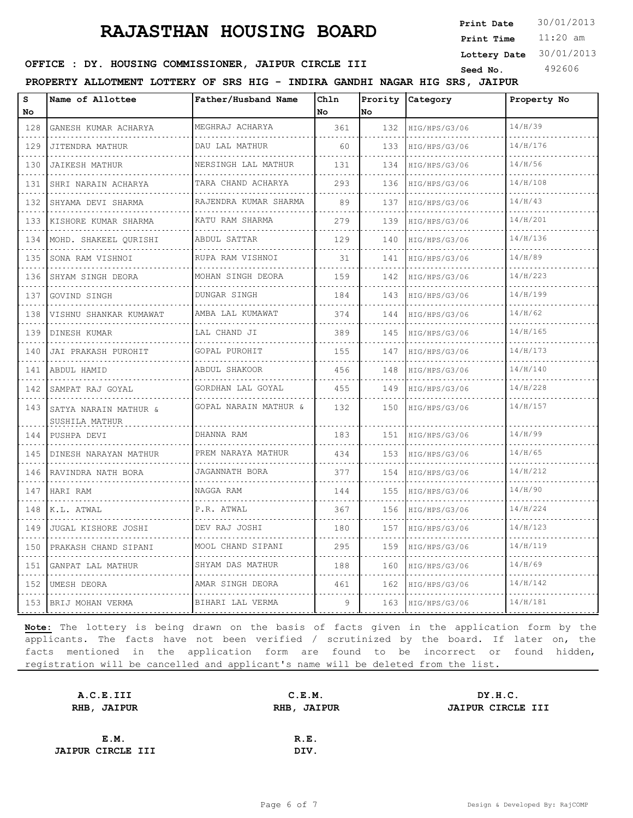11:20 am **Print Time Print Date**  $30/01/2013$ 

**Lottery Date** 30/01/2013

### **SEED : DY. HOUSING COMMISSIONER, JAIPUR CIRCLE III** Seed No. 492606

**PROPERTY ALLOTMENT LOTTERY OF SRS HIG - INDIRA GANDHI NAGAR HIG SRS, JAIPUR**

| S<br>No                            | Name of Allottee                        | Father/Husband Name     | Chln<br>No | No               | Prority Category | Property No |
|------------------------------------|-----------------------------------------|-------------------------|------------|------------------|------------------|-------------|
| 128<br>.                           | GANESH KUMAR ACHARYA                    | MEGHRAJ ACHARYA         | 361        | 132              | HIG/HPS/G3/06    | 14/H/39     |
| 129                                | JITENDRA MATHUR                         | DAU LAL MATHUR<br>.     | 60         | 133              | HIG/HPS/G3/06    | 14/H/176    |
| .<br>130                           | .<br><b>JAIKESH MATHUR</b>              | NERSINGH LAL MATHUR     | 131        | 134              | HIG/HPS/G3/06    | 14/H/56     |
| 131                                | SHRI NARAIN ACHARYA                     | TARA CHAND ACHARYA      | 293        | 136              | HIG/HPS/G3/06    | 14/H/108    |
| .<br>132                           | SHYAMA DEVI SHARMA                      | RAJENDRA KUMAR SHARMA   | 89         | 137<br>$- - - -$ | HIG/HPS/G3/06    | 14/H/43     |
| .<br>133                           | KISHORE KUMAR SHARMA<br>.               | KATU RAM SHARMA         | 279        | 139              | HIG/HPS/G3/06    | 14/H/201    |
| 134                                | MOHD. SHAKEEL OURISHI                   | ABDUL SATTAR            | 129        | 140              | HIG/HPS/G3/06    | 14/H/136    |
| الدائد الدائد<br>135<br>a dia a    | SONA RAM VISHNOI                        | RUPA RAM VISHNOI<br>.   | 31         | 141              | HIG/HPS/G3/06    | 14/H/89     |
| 136                                | SHYAM SINGH DEORA                       | MOHAN SINGH DEORA       | 159        | 142              | HIG/HPS/G3/06    | 14/H/223    |
| 137<br>.                           | GOVIND SINGH                            | DUNGAR SINGH            | 184        | 143              | HIG/HPS/G3/06    | 14/H/199    |
| 138<br>.                           | VISHNU SHANKAR KUMAWAT                  | AMBA LAL KUMAWAT<br>.   | 374        | 144              | HIG/HPS/G3/06    | 14/H/62     |
| 139                                | DINESH KUMAR                            | LAL CHAND JI            | 389        | 145              | HIG/HPS/G3/06    | 14/H/165    |
| 140<br>$\sim$ $\sim$ $\sim$ $\sim$ | JAI PRAKASH PUROHIT                     | GOPAL PUROHIT           | 155        | 147              | HIG/HPS/G3/06    | 14/H/173    |
| 141<br>.                           | ABDUL HAMID                             | ABDUL SHAKOOR<br>.      | 456        | 148              | HIG/HPS/G3/06    | 14/H/140    |
| 142                                | SAMPAT RAJ GOYAL                        | GORDHAN LAL GOYAL       | 455        | 149              | HIG/HPS/G3/06    | 14/H/228    |
| 143                                | SATYA NARAIN MATHUR &<br>SUSHILA MATHUR | GOPAL NARAIN MATHUR &   | 132        | 150              | HIG/HPS/G3/06    | 14/H/157    |
| 144<br>.                           | PUSHPA DEVI                             | DHANNA RAM              | 183        | 151              | HIG/HPS/G3/06    | 14/H/99     |
| 145<br>$\sim$ $\sim$ $\sim$ $\sim$ | DINESH NARAYAN MATHUR                   | PREM NARAYA MATHUR<br>. | 434        | 153              | HIG/HPS/G3/06    | 14/H/65     |
| 146                                | RAVINDRA NATH BORA                      | JAGANNATH BORA          | 377        | 154              | HIG/HPS/G3/06    | 14/H/212    |
| 147<br>.                           | HARI RAM                                | NAGGA RAM               | 144        | 155              | HIG/HPS/G3/06    | 14/H/90     |
| 148<br>$\sim$ $\sim$ $\sim$ $\sim$ | K.L. ATWAL                              | P.R. ATWAL<br>.         | 367        | 156              | HIG/HPS/G3/06    | 14/H/224    |
| 149                                | JUGAL KISHORE JOSHI                     | DEV RAJ JOSHI           | 180        | 157              | HIG/HPS/G3/06    | 14/H/123    |
| 150<br>.                           | PRAKASH CHAND SIPANI                    | MOOL CHAND SIPANI       | 295        | 159              | HIG/HPS/G3/06    | 14/H/119    |
| 151<br>$\sim$ $\sim$ $\sim$ $\sim$ | GANPAT LAL MATHUR                       | SHYAM DAS MATHUR        | 188        | 160              | HIG/HPS/G3/06    | 14/H/69     |
| 152                                | UMESH DEORA                             | AMAR SINGH DEORA<br>.   | 461        | 162              | HIG/HPS/G3/06    | 14/H/142    |
| 153                                | BRIJ MOHAN VERMA                        | BIHARI LAL VERMA        | 9          | 163              | HIG/HPS/G3/06    | 14/H/181    |

| A.C.E.III                | C.E.M. | DY.H.C.                  |
|--------------------------|--------|--------------------------|
| RHB, JAIPUR              |        | <b>JAIPUR CIRCLE III</b> |
|                          |        |                          |
| E.M.                     | R.E.   |                          |
| <b>JAIPUR CIRCLE III</b> | DIV.   |                          |
|                          |        | RHB, JAIPUR              |